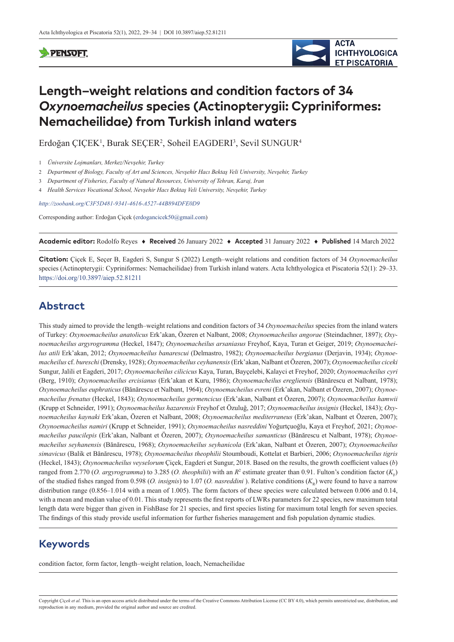#### **SPENSOFT**



# **Length–weight relations and condition factors of 34**  *Oxynoemacheilus* **species (Actinopterygii: Cypriniformes: Nemacheilidae) from Turkish inland waters**

Erdoğan ÇIÇEK<sup>1</sup>, Burak SEÇER<sup>2</sup>, Soheil EAGDERI<sup>3</sup>, Sevil SUNGUR<sup>4</sup>

- 3 *Department of Fisheries, Faculty of Natural Resources, University of Tehran, Karaj, Iran*
- 4 *Health Services Vocational School, Nevşehir Hacı Bektaş Veli University, Nevşehir, Turkey*

*<http://zoobank.org/C3F5D481-9341-4616-A527-44B894DFE0D9>*

Corresponding author: Erdoğan Çiçek ([erdogancicek50@gmail.com](mailto:erdogancicek50@gmail.com))

**Academic editor:** Rodolfo Reyes ♦ **Received** 26 January 2022 ♦ **Accepted** 31 January 2022 ♦ **Published** 14 March 2022

**Citation:** Çiçek E, Seçer B, Eagderi S, Sungur S (2022) Length–weight relations and condition factors of 34 *Oxynoemacheilus* species (Actinopterygii: Cypriniformes: Nemacheilidae) from Turkish inland waters. Acta Ichthyologica et Piscatoria 52(1): 29–33. <https://doi.org/10.3897/aiep.52.81211>

# **Abstract**

This study aimed to provide the length–weight relations and condition factors of 34 *Oxynoemacheilus* species from the inland waters of Turkey: *Oxynoemacheilus anatolicus* Erk'akan, Özeren et Nalbant, 2008; *Oxynoemacheilus angorae* (Steindachner, 1897); *Oxynoemacheilus argyrogramma* (Heckel, 1847); *Oxynoemacheilus arsaniasus* Freyhof, Kaya, Turan et Geiger, 2019; *Oxynoemacheilus atili* Erk'akan, 2012; *Oxynoemacheilus banarescui* (Delmastro, 1982); *Oxynoemacheilus bergianus* (Derjavin, 1934); *Oxynoemacheilus* cf. *bureschi* (Drensky, 1928); *Oxynoemacheilus ceyhanensis* (Erk'akan, Nalbant et Özeren, 2007); *Oxynoemacheilus ciceki* Sungur, Jalili et Eagderi, 2017; *Oxynoemacheilus cilicicus* Kaya, Turan, Bayçelebi, Kalayci et Freyhof, 2020; *Oxynoemacheilus cyri* (Berg, 1910); *Oxynoemacheilus ercisianus* (Erk'akan et Kuru, 1986); *Oxynoemacheilus eregliensis* (Bănărescu et Nalbant, 1978); *Oxynoemacheilus euphraticus* (Bănărescu et Nalbant, 1964); *Oxynoemacheilus evreni* (Erk'akan, Nalbant et Özeren, 2007); *Oxynoemacheilus frenatus* (Heckel, 1843); *Oxynoemacheilus germencicus* (Erk'akan, Nalbant et Özeren, 2007); *Oxynoemacheilus hamwii* (Krupp et Schneider, 1991); *Oxynoemacheilus hazarensis* Freyhof et Özuluğ, 2017; *Oxynoemacheilus insignis* (Heckel, 1843); *Oxynoemacheilus kaynaki* Erk'akan, Özeren et Nalbant, 2008; *Oxynoemacheilus mediterraneus* (Erk'akan, Nalbant et Özeren, 2007); *Oxynoemacheilus namiri* (Krupp et Schneider, 1991); *Oxynoemacheilus nasreddini* Yoğurtçuoğlu, Kaya et Freyhof, 2021; *Oxynoemacheilus paucilepis* (Erk'akan, Nalbant et Özeren, 2007); *Oxynoemacheilus samanticus* (Bănărescu et Nalbant, 1978); *Oxynoemacheilus seyhanensis* (Bănărescu, 1968); *Oxynoemacheilus seyhanicola* (Erk'akan, Nalbant et Özeren, 2007); *Oxynoemacheilus simavicus* (Balik et Bănărescu, 1978); *Oxynoemacheilus theophilii* Stoumboudi, Kottelat et Barbieri, 2006; *Oxynoemacheilus tigris* (Heckel, 1843); *Oxynoemacheilus veyselorum* Çiçek, Eagderi et Sungur, 2018. Based on the results, the growth coefficient values (*b*) ranged from 2.770 (*O. argyrogramma*) to 3.285 (*O. theophilii*) with an  $R^2$  estimate greater than 0.91. Fulton's condition factor ( $K_F$ ) of the studied fishes ranged from 0.598 (*O. insignis*) to 1.07 (*O. nasreddini*). Relative conditions  $(K_n)$  were found to have a narrow distribution range (0.856–1.014 with a mean of 1.005). The form factors of these species were calculated between 0.006 and 0.14, with a mean and median value of 0.01. This study represents the first reports of LWRs parameters for 22 species, new maximum total length data were bigger than given in FishBase for 21 species, and first species listing for maximum total length for seven species. The findings of this study provide useful information for further fisheries management and fish population dynamic studies.

## **Keywords**

condition factor, form factor, length–weight relation, loach, Nemacheilidae

Copyright *Çiçek et al.* This is an open access article distributed under the terms of the [Creative Commons Attribution License \(CC BY 4.0\),](http://creativecommons.org/licenses/by/4.0/) which permits unrestricted use, distribution, and reproduction in any medium, provided the original author and source are credited.

<sup>1</sup> *Üniversite Lojmanları, Merkez/Nevşehir, Turkey*

<sup>2</sup> *Department of Biology, Faculty of Art and Sciences, Nevşehir Hacı Bektaş Veli University, Nevşehir, Turkey*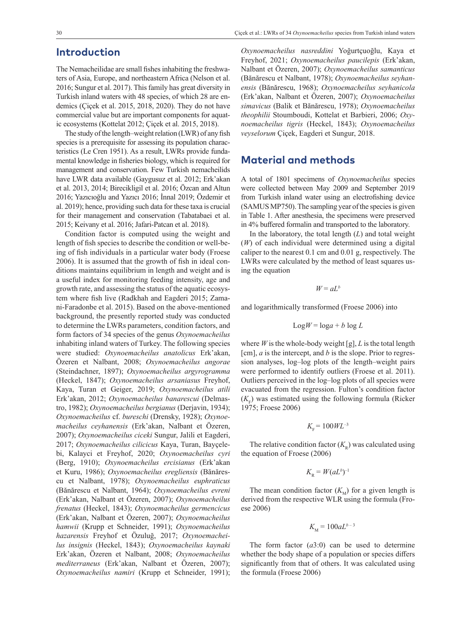#### **Introduction**

The Nemacheilidae are small fishes inhabiting the freshwaters of Asia, Europe, and northeastern Africa (Nelson et al. 2016; Sungur et al. 2017). This family has great diversity in Turkish inland waters with 48 species, of which 28 are endemics (Çiçek et al. 2015, 2018, 2020). They do not have commercial value but are important components for aquatic ecosystems (Kottelat 2012; Çiçek et al. 2015, 2018).

The study of the length–weight relation (LWR) of any fish species is a prerequisite for assessing its population characteristics (Le Cren 1951). As a result, LWRs provide fundamental knowledge in fisheries biology, which is required for management and conservation. Few Turkish nemacheilids have LWR data available (Gaygusuz et al. 2012; Erk'akan et al. 2013, 2014; Birecikligil et al. 2016; Özcan and Altun 2016; Yazıcıoğlu and Yazıcı 2016; İnnal 2019; Özdemir et al. 2019); hence, providing such data for these taxa is crucial for their management and conservation (Tabatabaei et al. 2015; Keivany et al. 2016; Jafari-Patcan et al. 2018).

Condition factor is computed using the weight and length of fish species to describe the condition or well-being of fish individuals in a particular water body (Froese 2006). It is assumed that the growth of fish in ideal conditions maintains equilibrium in length and weight and is a useful index for monitoring feeding intensity, age and growth rate, and assessing the status of the aquatic ecosystem where fish live (Radkhah and Eagderi 2015; Zamani-Faradonbe et al. 2015). Based on the above-mentioned background, the presently reported study was conducted to determine the LWRs parameters, condition factors, and form factors of 34 species of the genus *Oxynoemacheilus* inhabiting inland waters of Turkey. The following species were studied: *Oxynoemacheilus anatolicus* Erk'akan, Özeren et Nalbant, 2008; *Oxynoemacheilus angorae* (Steindachner, 1897); *Oxynoemacheilus argyrogramma* (Heckel, 1847); *Oxynoemacheilus arsaniasus* Freyhof, Kaya, Turan et Geiger, 2019; *Oxynoemacheilus atili* Erk'akan, 2012; *Oxynoemacheilus banarescui* (Delmastro, 1982); *Oxynoemacheilus bergianus* (Derjavin, 1934); *Oxynoemacheilus* cf. *bureschi* (Drensky, 1928); *Oxynoemacheilus ceyhanensis* (Erk'akan, Nalbant et Özeren, 2007); *Oxynoemacheilus ciceki* Sungur, Jalili et Eagderi, 2017; *Oxynoemacheilus cilicicus* Kaya, Turan, Bayçelebi, Kalayci et Freyhof, 2020; *Oxynoemacheilus cyri* (Berg, 1910); *Oxynoemacheilus ercisianus* (Erk'akan et Kuru, 1986); *Oxynoemacheilus eregliensis* (Bănărescu et Nalbant, 1978); *Oxynoemacheilus euphraticus* (Bănărescu et Nalbant, 1964); *Oxynoemacheilus evreni* (Erk'akan, Nalbant et Özeren, 2007); *Oxynoemacheilus frenatus* (Heckel, 1843); *Oxynoemacheilus germencicus* (Erk'akan, Nalbant et Özeren, 2007); *Oxynoemacheilus hamwii* (Krupp et Schneider, 1991); *Oxynoemacheilus hazarensis* Freyhof et Özuluğ, 2017; *Oxynoemacheilus insignis* (Heckel, 1843); *Oxynoemacheilus kaynaki* Erk'akan, Özeren et Nalbant, 2008; *Oxynoemacheilus mediterraneus* (Erk'akan, Nalbant et Özeren, 2007); *Oxynoemacheilus namiri* (Krupp et Schneider, 1991);

*Oxynoemacheilus nasreddini* Yoğurtçuoğlu, Kaya et Freyhof, 2021; *Oxynoemacheilus paucilepis* (Erk'akan, Nalbant et Özeren, 2007); *Oxynoemacheilus samanticus* (Bănărescu et Nalbant, 1978); *Oxynoemacheilus seyhanensis* (Bănărescu, 1968); *Oxynoemacheilus seyhanicola* (Erk'akan, Nalbant et Özeren, 2007); *Oxynoemacheilus simavicus* (Balik et Bănărescu, 1978); *Oxynoemacheilus theophilii* Stoumboudi, Kottelat et Barbieri, 2006; *Oxynoemacheilus tigris* (Heckel, 1843); *Oxynoemacheilus veyselorum* Çiçek, Eagderi et Sungur, 2018.

## **Material and methods**

A total of 1801 specimens of *Oxynoemacheilus* species were collected between May 2009 and September 2019 from Turkish inland water using an electrofishing device (SAMUS MP750). The sampling year of the species is given in Table 1. After anesthesia, the specimens were preserved in 4% buffered formalin and transported to the laboratory.

In the laboratory, the total length (*L*) and total weight (*W*) of each individual were determined using a digital caliper to the nearest 0.1 cm and 0.01 g, respectively. The LWRs were calculated by the method of least squares using the equation

$$
W = aL^b
$$

and logarithmically transformed (Froese 2006) into

$$
Log W = log a + b log L
$$

where *W* is the whole-body weight [g], *L* is the total length [cm], *a* is the intercept, and *b* is the slope. Prior to regression analyses, log–log plots of the length–weight pairs were performed to identify outliers (Froese et al. 2011). Outliers perceived in the log–log plots of all species were evacuated from the regression. Fulton's condition factor  $(K_F)$  was estimated using the following formula (Ricker 1975; Froese 2006)

$$
K_{\rm F} = 100 \, W L^{-3}
$$

The relative condition factor  $(K_n)$  was calculated using the equation of Froese (2006)

$$
K_{\rm R} = W(aL^b)^{-1}
$$

The mean condition factor  $(K_M)$  for a given length is derived from the respective WLR using the formula (Froese 2006)

$$
K_{\rm M} = 100 a L^{b-3}
$$

The form factor (*a*3:0) can be used to determine whether the body shape of a population or species differs significantly from that of others. It was calculated using the formula (Froese 2006)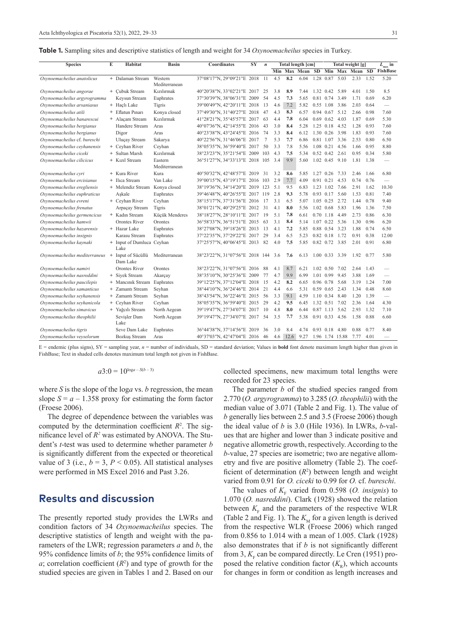|  |  |  |  | <b>Table 1.</b> Sampling sites and descriptive statistics of length and weight for 34 Oxynoemacheilus species in Turkey. |  |
|--|--|--|--|--------------------------------------------------------------------------------------------------------------------------|--|
|  |  |  |  |                                                                                                                          |  |

| <b>Species</b>                | E | Habitat                     | <b>Basin</b>   | Coordinates                     | SY | $\boldsymbol{n}$ |     |      | Total length [cm]   |      |                   |                 | Total weight [g] |      | $L_{\text{max}}$ in             |
|-------------------------------|---|-----------------------------|----------------|---------------------------------|----|------------------|-----|------|---------------------|------|-------------------|-----------------|------------------|------|---------------------------------|
|                               |   |                             |                |                                 |    |                  |     |      | Min Max Mean SD Min |      |                   | Max             | Mean SD          |      | <b>FishBase</b>                 |
| Oxynoemacheilus anatolicus    |   | + Dalaman Stream            | Western        | 37°08'17'N, 29°09'21"E 2018     |    | 11               | 4.5 | 8.2  | 6.04                | 1.28 | 0.87              | 5.03            | 2.33             | 1.52 | 5.20                            |
|                               |   |                             | Mediterranean  |                                 |    |                  |     |      |                     |      |                   |                 |                  |      |                                 |
| Oxynoemacheilus angorae       |   | + Cubuk Stream              | Kızılırmak     | 40°20'38'N, 33°02'21"E 2017     |    | 25               | 3.8 | 8.9  | 7.44                |      | 1.32 0.42         | 5.89            | 4.01             | 1.50 | 8.5                             |
| Oxynoemacheilus argyrogramma  |   | Keysun Stream               | Euphrates      | 37°30'39'N, 38°06'31"E 2009     |    | 54               | 4.5 | 7.3  | 5.65                |      | 0.81 0.74         | 3.49            | 1.71             | 0.69 | 6.20                            |
| Oxynoemacheilus arsaniasus    |   | + Haclı Lake                | Tigris         | 39°00'49"N, 42°20'11"E 2018     |    | 13               | 4.6 | 7.2  | 5.82                |      | $0.55$ 1.08       | 3.86            | 2.03             | 0.64 | $\overline{\phantom{0}}$        |
| Oxynoemacheilus atili         |   | + Eflatun Pınarı            | Konya closed   | 37°49'30'N, 31°40'27"E 2018     |    | 47               | 4.3 | 8.3  | 6.57                |      | 0.94 0.67         | 5.12            | 2.66             | 0.98 | 7.60                            |
| Oxynoemacheilus banarescui    |   | + Alaçam Stream             | Kızılırmak     | 41°28'21"N, 35°45'57"E 2017     |    | 63               | 4.4 | 7.8  | 6.04                |      | $0.69$ $0.62$     | 4.03            | 1.87             | 0.69 | 5.30                            |
| Oxynoemacheilus bergianus     |   | Handere Stream              | Aras           | 40°07'36"N, 42°14'55"E 2016     |    | 43               | 3.0 | 8.4  | 5.28                |      | 1.25 0.18         | 4.52            | 1.28             | 0.93 | 7.60                            |
| Oxynoemacheilus bergianus     |   | Digor                       | Aras           | 40°23'38"N, 43°24'45"E 2016     |    | 74               | 3.3 | 8.4  | 6.12                |      | 1.30 0.26         | 3.98            | 1.83             | 0.93 | 7.60                            |
| Oxynoemacheilus cf. bureschi  |   | <b>Ulucay Stream</b>        | Sakarya        | 40°22'56"N, 31°46'06"E 2017     |    | 7                | 5.3 | 7.7  | 6.86                |      | 0.81 1.07         | 3.36            | 2.53             | 0.80 | 6.50                            |
| Oxynoemacheilus ceyhanensis   |   | + Ceyhan River              | Ceyhan         | 38°05'35"N, 36°59'40"E 2017     |    | 50               | 3.3 | 7.8  | 5.56                |      | 1.08 0.21         | 4.56            | 1.66             | 0.95 | 8.80                            |
| Oxynoemacheilus ciceki        |   | + Sultan Marsh              | Kızılırmak     | 38°23'23"N, 35°21'54"E 2009     |    | 103              | 4.3 | 7.5  | 5.34                |      | $0.52 \quad 0.42$ | 2.61            | 0.95             | 0.34 | 5.80                            |
| Oxynoemacheilus cilicicus     |   | + Kızıl Stream              | Eastern        | 36°51'27"N, 34°33'13"E 2018 105 |    |                  | 3.4 | 9.9  | 5.60                |      | 1.02 0.45 9.10    |                 | 1.81             | 1.38 |                                 |
|                               |   |                             | Mediterranean  |                                 |    |                  |     |      |                     |      |                   |                 |                  |      |                                 |
| Oxynoemacheilus cyri          |   | + Kura River                | Kura           | 40°50'32"N, 42°48'57"E 2019     |    | 31               | 3.2 | 8.6  | 5.85                |      | 1.27 0.26         | 7.33            | 2.46             | 1.66 | 6.80                            |
| Oxynoemacheilus ercisianus    |   | + Ilica Stream              | Van Lake       | 39°00'15"N, 43°19'17"E 2016 103 |    |                  | 2.9 | 7.7  | 4.09                |      | 0.91 0.21         | 4.53            | 0.74             | 0.76 |                                 |
| Oxynoemacheilus eregliensis   |   | + Melendiz Stream           | Konya closed   | 38°19'36'N, 34°14'20"E 2019 123 |    |                  | 5.1 | 9.5  | 6.83                |      | 1.23 1.02         | 7.66            | 2.91             | 1.62 | 10.30                           |
| Oxynoemacheilus euphraticus   |   | Aşkale                      | Euphrates      | 39°46'48"N, 40°26'55"E 2017 119 |    |                  | 2.8 | 9.3  | 5.78                |      | 0.93 0.17         | 5.60            | 1.53             | 0.81 | 7.40                            |
| Oxynoemacheilus evreni        |   | + Ceyhan River              | Ceyhan         | 38°15'17"N, 37°31'56"E 2016     |    | 17               | 3.1 | 6.5  | 5.07                |      | 1.05 0.25         | 2.72            | 1.44             | 0.78 | 9.40                            |
| Oxynoemacheilus frenatus      |   | Arpaçay Stream              | Tigris         | 38°01'21"N, 40°29'25"E 2012     |    | 31               | 4.1 | 8.0  | 5.56                |      | 1.02 0.68         | 5.83            | 1.96             | 1.36 | 7.50                            |
| Oxynoemacheilus germencicus   |   | + Kadın Stream              | Küçük Menderes | 38°18'27"N, 28°10'11"E 2017     |    | 19               | 5.1 | 7.8  | 6.61                |      | 0.70 1.18         | 4.49            | 2.73             | 0.86 | 6.30                            |
| Oxynoemacheilus hamwii        |   | <b>Orontes River</b>        | Orontes        | 36°58'33''N, 36°51'51"E 2015    |    | 63               | 3.1 | 8.4  | 5.14                |      | 1.07 0.22         | 5.36            | 1.30             | 0.96 | 6.20                            |
| Oxynoemacheilus hazarensis    |   | + Hazar Lake                | Euphrates      | 38°27'08"N, 39°18'26"E 2013     |    | 13               | 4.1 | 7.2  | 5.85                |      | 0.88 0.54         | 3.23            | 1.88             | 0.74 | 6.50                            |
| Oxynoemacheilus insignis      |   | Karasu Stream               | Euphrates      | 37°22'35"N, 37°29'22"E 2017     |    | 29               | 3.4 | 6.5  | 5.23                |      | $0.82$ $0.18$     | 1.72            | 0.91             | 0.38 | 12.00                           |
| Oxynoemacheilus kaynaki       |   | + Input of Dumluca Ceyhan   |                | 37°25'57"N, 40°06'45"E 2013     |    | 82               | 4.0 | 7.5  | 5.85                |      | 0.82 0.72         | 3.85            | 2.01             | 0.91 | 6.80                            |
|                               |   | Lake                        |                |                                 |    |                  |     |      |                     |      |                   |                 |                  |      |                                 |
| Oxynoemacheilus mediterraneus |   | + Input of Sücüllü          | Mediterranean  | 38°23'22"N, 31°07'56"E 2018     |    | 144              | 3.6 | 7.6  | 6.13                | 1.00 | 0.33              | 3.39            | 1.92             | 0.77 | 5.80                            |
|                               |   | Dam Lake                    |                |                                 |    |                  |     |      |                     |      |                   |                 |                  |      |                                 |
| Oxynoemacheilus namiri        |   | Orontes River               | Orontes        | 38°23'22"N, 31°07'56"E 2016     |    | 88               | 4.1 | 8.7  | 6.21                |      | 1.02 0.50         | 7.02            | 2.64             | 1.43 | $\overline{\phantom{0}}$        |
| Oxynoemacheilus nasreddini    |   | + Siyek Stream              | Akarcay        | 38°35'10"N, 30°25'36"E 2009     |    | 77               | 4.7 | 9.9  | 6.99                |      | 1.01 0.99         | 9.45            | 3.88             | 1.69 | $\overline{\phantom{0}}$        |
| Oxynoemacheilus paucilepis    |   | + Mancinik Stream Euphrates |                | 39°12'25"N, 37°12'04"E 2018     |    | 15               | 4.2 | 8.2  | 6.65                |      | 0.96 0.78         | 5.68            | 3.19             | 1.24 | 7.00                            |
| Oxynoemacheilus samanticus    |   | + Zamanti Stream            | Seyhan         | 38°44'10"N, 36°24'46"E 2014     |    | 21               | 4.4 | 6.6  | 5.31                |      | $0.59$ 0.65       | 2.43            | 1.34             | 0.48 | 8.60                            |
| Oxynoemacheilus seyhanensis   |   | + Zamantı Stream            | Seyhan         | 38°43'54"N, 36°22'46"E 2015     |    | 56               | 3.3 | 9.1  | 4.59                |      | 1.10 0.34         | 8.40            | 1.20             | 1.39 | $\overbrace{\qquad \qquad }^{}$ |
| Oxynoemacheilus seyhanicola   |   | + Ceyhan River              | Ceyhan         | 38°05'35''N, 36°59'40"E 2015    |    | 29               | 4.2 | 9.5  | 6.45                |      | 1.32 0.51         | 7.02            | 2.36             | 1.64 | 4.30                            |
| Oxynoemacheilus simavicus     |   | + Yağcılı Stream            | North Aegean   | 39°19'47"N, 27°34'07"E 2017     |    | 10               | 4.8 | 8.0  | 6.44                | 0.87 | 1.13              | 5.62            | 2.93             | 1.32 | 7.10                            |
| Oxynoemacheilus theophilii    |   | Sevisler Dam                | North Aegean   | 39°19'47"N, 27°34'07"E 2017     |    | 54               | 3.5 | 7.7  | 5.38                |      | 0.91 0.33         | 4.56            | 1.58             | 0.88 | 6.60                            |
|                               |   | Lake                        |                |                                 |    |                  |     |      |                     |      |                   |                 |                  |      |                                 |
| Oxynoemacheilus tigris        |   | Seve Dam Lake               | Euphrates      | 36°44'38'N, 37°14'56"E 2019     |    | 36               | 3.0 | 8.4  | 4.74                |      | $0.93$ 0.18       | 4.80            | 0.88             | 0.77 | 8.40                            |
| Oxynoemacheilus veyselorum    |   | Bozkuş Stream               | Aras           | 40°37'03"N, 42°47'04"E 2016     |    | 46               | 4.6 | 12.6 | 9.27                |      |                   | 1.96 1.74 15.88 | 7.77             | 4.01 |                                 |
|                               |   |                             |                |                                 |    |                  |     |      |                     |      |                   |                 |                  |      |                                 |

 $E$  = endemic (plus signs), SY = sampling year,  $n$  = number of individuals, SD = standard deviation; Values in **bold** font denote maximum length higher than given in FishBase; Text in shaded cells denotes maximum total length not given in FishBase.

#### $a3:0 = 10^{\log a - S(b-3)}$

where *S* is the slope of the log*a* vs. *b* regression, the mean slope  $S = a - 1.358$  proxy for estimating the form factor (Froese 2006).

The degree of dependence between the variables was computed by the determination coefficient  $R^2$ . The significance level of  $R^2$  was estimated by ANOVA. The Student's *t*-test was used to determine whether parameter *b* is significantly different from the expected or theoretical value of 3 (i.e.,  $b = 3$ ,  $P < 0.05$ ). All statistical analyses were performed in MS Excel 2016 and Past 3.26.

### **Results and discussion**

The presently reported study provides the LWRs and condition factors of 34 *Oxynoemacheilus* species. The descriptive statistics of length and weight with the parameters of the LWR; regression parameters *a* and *b*, the 95% confidence limits of *b*; the 95% confidence limits of  $a$ ; correlation coefficient  $(R^2)$  and type of growth for the studied species are given in Tables 1 and 2. Based on our

collected specimens, new maximum total lengths were recorded for 23 species.

The parameter *b* of the studied species ranged from 2.770 (*O. argyrogramma*) to 3.285 (*O. theophilii*) with the median value of 3.071 (Table 2 and Fig. 1). The value of *b* generally lies between 2.5 and 3.5 (Froese 2006) though the ideal value of *b* is 3.0 (Hile 1936). In LWRs, *b*-values that are higher and lower than 3 indicate positive and negative allometric growth, respectively. According to the *b-*value, 27 species are isometric; two are negative allometry and five are positive allometry (Table 2). The coefficient of determination  $(R^2)$  between length and weight varied from 0.91 for *O. ciceki* to 0.99 for *O.* cf. *bureschi*.

The values of  $K_F$  varied from 0.598 (*O. insignis*) to 1.070 (*O. nasreddini*). Clark (1928) showed the relation between  $K_F$  and the parameters of the respective WLR (Table 2 and Fig. 1). The  $K_M$  for a given length is derived from the respective WLR (Froese 2006) which ranged from 0.856 to 1.014 with a mean of 1.005. Clark (1928) also demonstrates that if *b* is not significantly different from 3,  $K_F$  can be compared directly. Le Cren (1951) proposed the relative condition factor  $(K_p)$ , which accounts for changes in form or condition as length increases and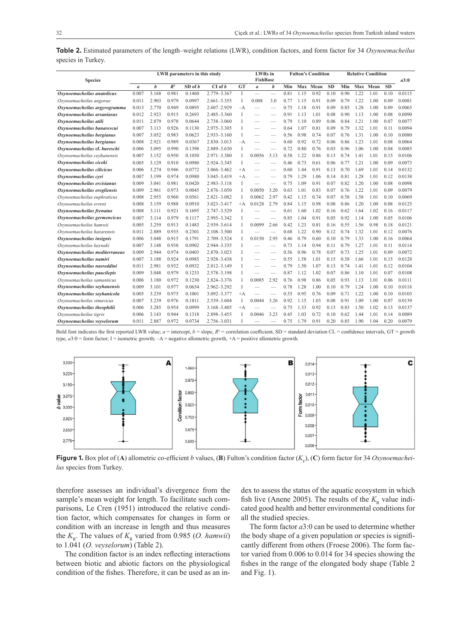|                    | Table 2. Estimated parameters of the length–weight relations (LWR), condition factors, and form factor for 34 Oxynoemacheilus |  |  |  |  |  |
|--------------------|-------------------------------------------------------------------------------------------------------------------------------|--|--|--|--|--|
| species in Turkey. |                                                                                                                               |  |  |  |  |  |

| <b>Species</b>                | LWR parameters in this study |                  |       |             |                 |           | <b>LWRs</b> in<br><b>FishBase</b> |      |      | <b>Fulton's Condition</b> |          | <b>Relative Condition</b> |      |      |          | a3:0      |        |
|-------------------------------|------------------------------|------------------|-------|-------------|-----------------|-----------|-----------------------------------|------|------|---------------------------|----------|---------------------------|------|------|----------|-----------|--------|
|                               | $\mathfrak a$                | $\boldsymbol{h}$ | $R^2$ | $SD$ of $b$ | CI of b         | <b>GT</b> | $\mathfrak{a}$                    | b    | Min  |                           | Max Mean | <b>SD</b>                 | Min  |      | Max Mean | <b>SD</b> |        |
| Oxynoemacheilus anatolicus    | 0.007                        | 3.168            | 0.981 | 0.1460      | 2.779-3.367     | T         |                                   |      | 0.81 | 1.15                      | 0.92     | 0.10                      | 0.90 | 1.22 | 1.01     | 0.10      | 0.0115 |
| Oxynoemacheilus angorae       | 0.011                        | 2.903            | 0.979 | 0.0997      | $2.661 - 3.355$ | T         | 0.008                             | 3.0  | 0.77 | 1.15                      | 0.91     | 0.09                      | 0.79 | 1.22 | 1.00     | 0.09      | 0.0081 |
| Oxynoemacheilus argyrogramma  | 0.013                        | 2.770            | 0.949 | 0.0895      | 2.607-2.929     | –А        |                                   |      | 0.75 | 1.18                      | 0.91     | 0.09                      | 0.85 | 1.28 | 1.00     | 0.09      | 0.0065 |
| Oxynoemacheilus arsaniasus    | 0.012                        | 2.923            | 0.915 | 0.2693      | 2.485-3.360     | T         |                                   |      | 0.91 | 1.13                      | 1.01     | 0.08                      | 0.90 | 1.13 | 1.00     | 0.08      | 0.0090 |
| Oxynoemacheilus atili         | 0.011                        | 2.879            | 0.978 | 0.0644      | 2.738-3.060     |           |                                   |      | 0.79 | 1.10                      | 0.89     | 0.06                      | 0.84 | 1.21 | 1.00     | 0.07      | 0.0077 |
| Oxynoemacheilus banarescui    | 0.007                        | 3.113            | 0.926 | 0.1130      | 2.975-3.305     |           |                                   |      | 0.64 | 1.07                      | 0.81     | 0.09                      | 0.79 | 1.32 | 1.01     | 0.11      | 0.0094 |
| Oxynoemacheilus bergianus     | 0.007                        | 3.052            | 0.983 | 0.0623      | $2.933 - 3.160$ | T         |                                   |      | 0.56 | 0.98                      | 0.74     | 0.07                      | 0.76 | 1.31 | 1.00     | 0.10      | 0.0080 |
| Oxynoemacheilus bergianus     | 0.008                        | 2.921            | 0.989 | 0.0367      | $2.830 - 3.013$ | –А        |                                   |      | 0.60 | 0.92                      | 0.72     | 0.06                      | 0.86 | 1.23 | 1.01     | 0.08      | 0.0064 |
| Oxynoemacheilus cf. bureschi  | 0.006                        | 3.095            | 0.990 | 0.1398      | 2.889-3.630     | T         |                                   |      | 0.72 | 0.80                      | 0.76     | 0.03                      | 0.96 | 1.06 | 1.00     | 0.04      | 0.0085 |
| Oxynoemacheilus ceyhanensis   | 0.007                        | 3.152            | 0.950 | 0.1050      | $2.971 - 3.380$ |           | 0.0056                            | 3.13 | 0.58 | 1.22                      | 0.86     | 0.13                      | 0.74 | 1.41 | 1.01     | 0.15      | 0.0106 |
| Oxynoemacheilus ciceki        | 0.005                        | 3.129            | 0.910 | 0.0980      | 2.924-3.345     | T         |                                   |      | 0.46 | 0.73                      | 0.61     | 0.06                      | 0.77 | 1.21 | 1.00     | 0.09      | 0.0073 |
| Oxynoemacheilus cilicicus     | 0.006                        | 3.274            | 0.946 | 0.0772      | 3.066-3.462     | $+A$      |                                   |      | 0.60 | 1.44                      | 0.91     | 0.13                      | 0.70 | 1.69 | 1.01     | 0.14      | 0.0132 |
| Oxynoemacheilus cyri          | 0.007                        | 3.199            | 0.974 | 0.0980      | 3.045-3.419     | $+A$      |                                   |      | 0.79 | 1.29                      | 1.06     | 0.14                      | 0.81 | 1.28 | 1.01     | 0.12      | 0.0138 |
| Oxynoemacheilus ercisianus    | 0.009                        | 3.041            | 0.981 | 0.0420      | $2.983 - 3.118$ |           |                                   |      | 0.75 | 1.09                      | 0.91     | 0.07                      | 0.82 | 1.20 | 1.00     | 0.08      | 0.0098 |
| Oxynoemacheilus eregliensis   | 0.009                        | 2.961            | 0.973 | 0.0045      | 2.876-3.050     |           | 0.0050                            | 3.20 | 0.63 | 1.01                      | 0.83     | 0.07                      | 0.76 | 1.22 | 1.01     | 0.09      | 0.0079 |
| Oxynoemacheilus euphraticus   | 0.008                        | 2.955            | 0.960 | 0.0561      | $2.821 - 3.082$ |           | 0.0062                            | 2.97 | 0.42 | 1.15                      | 0.74     | 0.07                      | 0.58 | 1.58 | 1.01     | 0.10      | 0.0069 |
| Oxynoemacheilus evreni        | 0.008                        | 3.159            | 0.988 | 0.0910      | 3.023-3.417     | $+A$      | 0.0128                            | 2.79 | 0.84 | 1.15                      | 0.98     | 0.08                      | 0.86 | 1.20 | 1.00     | 0.08      | 0.0125 |
| Oxynoemacheilus frenatus      | 0.008                        | 3.111            | 0.921 | 0.1695      | 2.747-3.529     |           |                                   |      | 0.61 | 1.60                      | 1.02     | 0.16                      | 0.62 | 1.64 | 1.02     | 0.16      | 0.0117 |
| Oxynoemacheilus germencicus   | 0.007                        | 3.114            | 0.979 | 0.1117      | 2.995-3.342     |           |                                   |      | 0.85 | 1.04                      | 0.91     | 0.05                      | 0.92 | 1.14 | 1.00     | 0.05      | 0.0106 |
| Oxynoemacheilus hamwii        | 0.005                        | 3.259            | 0.913 | 0.1483      | 2.939-3.614     |           | 0.0099                            | 2.66 | 0.42 | 1.23                      | 0.81     | 0.16                      | 0.55 | 1.56 | 0.98     | 0.18      | 0.0121 |
| Oxynoemacheilus hazarensis    | 0.011                        | 2.889            | 0.935 | 0.2301      | 2.108-3.500     |           |                                   |      | 0.68 | 1.22                      | 0.90     | 0.12                      | 0.74 | 1.32 | 1.01     | 0.12      | 0.0076 |
| Oxynoemacheilus insignis      | 0.006                        | 3.048            | 0.915 | 0.1791      | 2.709-3.524     |           | 0.0150                            | 2.95 | 0.46 | 0.79                      | 0.60     | 0.10                      | 0.79 | 1.33 | 1.00     | 0.16      | 0.0064 |
| Oxynoemacheilus kaynaki       | 0.007                        | 3.148            | 0.938 | 0.0902      | 2.944-3.335     |           |                                   |      | 0.73 | 1.14                      | 0.94     | 0.11                      | 0.79 | 1.27 | 1.01     | 0.11      | 0.0114 |
| Oxynoemacheilus mediterraneus | 0.009                        | 2.944            | 0.974 | 0.0403      | $2.870 - 3.023$ |           |                                   |      | 0.56 | 0.96                      | 0.78     | 0.07                      | 0.73 | 1.25 | 1.01     | 0.09      | 0.0072 |
| Oxynoemacheilus namiri        | 0.007                        | 3.188            | 0.924 | 0.0985      | 2.928-3.438     |           |                                   |      | 0.55 | 1.58                      | 1.01     | 0.15                      | 0.58 | 1.66 | 1.01     | 0.15      | 0.0128 |
| Oxynoemacheilus nasreddini    | 0.011                        | 2.981            | 0.932 | 0.0932      | $2.812 - 3.149$ |           |                                   |      | 0.79 | 1.50                      | 1.07     | 0.13                      | 0.74 | 1.41 | 1.01     | 0.12      | 0.0104 |
| Oxynoemacheilus paucilepis    | 0.009                        | 3.048            | 0.979 | 0.1233      | 2.578-3.198     |           |                                   |      | 0.87 | 1.12                      | 1.02     | 0.07                      | 0.86 | 1.10 | 1.01     | 0.07      | 0.0108 |
| Oxynoemacheilus samanticus    | 0.006                        | 3.180            | 0.972 | 0.1230      | 2.824-3.376     |           | 0.0085                            | 2.92 | 0.76 | 0.98                      | 0.86     | 0.05                      | 0.93 | 1.13 | 1.01     | 0.06      | 0.0111 |
| Oxynoemacheilus seyhanensis   | 0.009                        | 3.101            | 0.977 | 0.0654      | 2.962-3.292     |           |                                   |      | 0.78 | 1.28                      | 1.00     | 0.10                      | 0.79 | 1.24 | 1.00     | 0.10      | 0.0118 |
| Oxynoemacheilus seyhanicola   | 0.005                        | 3.239            | 0.975 | 0.1001      | 3.092-3.377     | $+A$      |                                   |      | 0.55 | 0.95                      | 0.76     | 0.09                      | 0.71 | 1.22 | 1.00     | 0.10      | 0.0103 |
| Oxynoemacheilus simavicus     | 0.007                        | 3.239            | 0.976 | 0.1811      | 2.539-3.604     |           | 0.0044                            | 3.26 | 0.92 | 1.15                      | 1.03     | 0.08                      | 0.91 | 1.09 | 1.00     | 0.07      | 0.0139 |
| Oxynoemacheilus theophilii    | 0.006                        | 3.285            | 0.954 | 0.0999      | 3.168-3.405     | $+A$      |                                   |      | 0.75 | 1.33                      | 0.92     | 0.13                      | 0.83 | 1.50 | 1.02     | 0.13      | 0.0137 |
| Oxynoemacheilus tigris        | 0.006                        | 3.143            | 0.944 | 0.1318      | 2.898-3.455     |           | 0.0046                            | 3.23 | 0.45 | 1.03                      | 0.72     | 0.10                      | 0.62 | 1.44 | 1.01     | 0.14      | 0.0089 |
| Oxynoemacheilus veyselorum    | 0.011                        | 2.887            | 0.972 | 0.0734      | 2.756-3.031     |           |                                   |      | 0.75 | 1.79                      | 0.91     | 0.20                      | 0.85 | 1.90 | 1.04     | 0.20      | 0.0079 |

Bold font indicates the first reported LWR value;  $a =$  intercept,  $b =$  slope,  $R<sup>2</sup> =$  correlation coefficient, SD = standard deviation CL = confidence intervals, GT = growth type,  $a3:0$  = form factor; I = isometric growth;  $-A$  = negative allometric growth,  $+A$  = positive allometric growth.



**Figure 1.** Box plot of (A) allometric co-efficient *b* values, (B) Fulton's condition factor ( $K_F$ ), (C) form factor for 34 *Oxynoemacheilus* species from Turkey.

therefore assesses an individual's divergence from the sample's mean weight for length. To facilitate such comparisons, Le Cren (1951) introduced the relative condition factor, which compensates for changes in form or condition with an increase in length and thus measures the  $K_{R}$ . The values of  $K_{R}$  varied from 0.985 (*O. hamwii*) to 1.041 (*O. veyselorum*) (Table 2).

The condition factor is an index reflecting interactions between biotic and abiotic factors on the physiological condition of the fishes. Therefore, it can be used as an index to assess the status of the aquatic ecosystem in which fish live (Anene 2005). The results of the  $K<sub>R</sub>$  value indicated good health and better environmental conditions for all the studied species.

The form factor *a*3:0 can be used to determine whether the body shape of a given population or species is significantly different from others (Froese 2006). The form factor varied from 0.006 to 0.014 for 34 species showing the fishes in the range of the elongated body shape (Table 2 and Fig. 1).